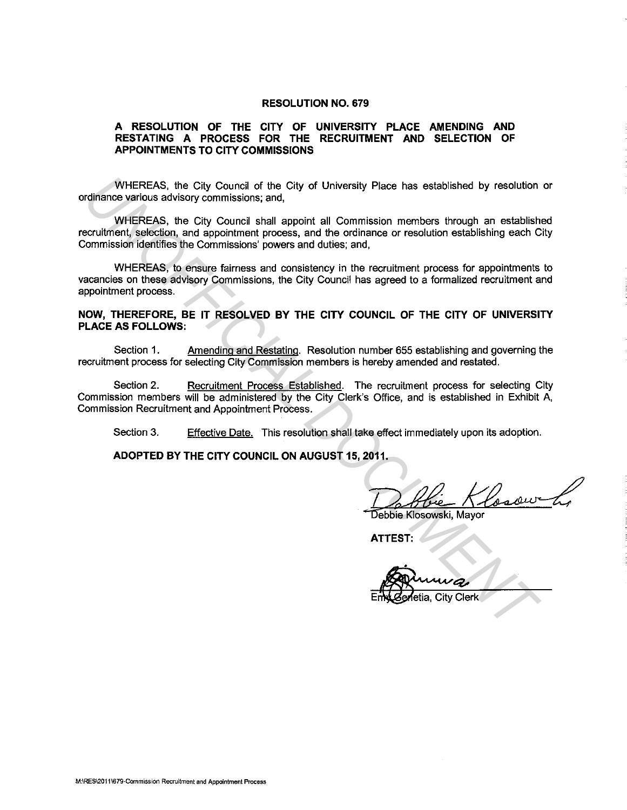#### **RESOLUTION NO. 679**

#### **A RESOLUTION OF THE CITY OF UNIVERSITY PLACE AMENDING AND RESTATING A PROCESS FOR THE RECRUITMENT AND SELECTION OF APPOINTMENTS TO CITY COMMISSIONS**

WHEREAS, the City Council of the City of University Place has established by resolution or ordinance various advisory commissions; and,

WHEREAS, the City Council shall appoint all Commission members through an established recruitment, selection, and appointment process, and the ordinance or resolution establishing each City Commission identifies the Commissions' powers and duties; and, WHEREAS, the City Council of the City of University Place has established by resolution<br>
cordination with the School council shall appoint all Commission members trough an establish<br>
countinent, selection, and appointment

WHEREAS, to ensure fairness and consistency in the recruitment process for appointments to vacancies on these advisory Commissions, the City Council has agreed to a formalized recruitment and appointment process.

#### **NOW, THEREFORE, BE IT RESOLVED BY THE CITY COUNCIL OF THE CITY OF UNIVERSITY PLACE AS FOLLOWS:**

Section 1. Amending and Restating. Resolution number 655 establishing and governing the recruitment process for selecting City Commission members is hereby amended and restated.

Section 2. Recruitment Process Established. The recruitment process for selecting City Commission members will be administered by the City Clerk's Office, and is established in Exhibit A, Commission Recruitment and Appointment Process.

Section 3. Effective Date. This resolution shall take effect immediately upon its adoption.

**ADOPTED BY THE CITY COUNCIL ON AUGUST 15, 2011.** 

2011.<br>Debbie Kiosowski, Mayor

**ATTEST:**